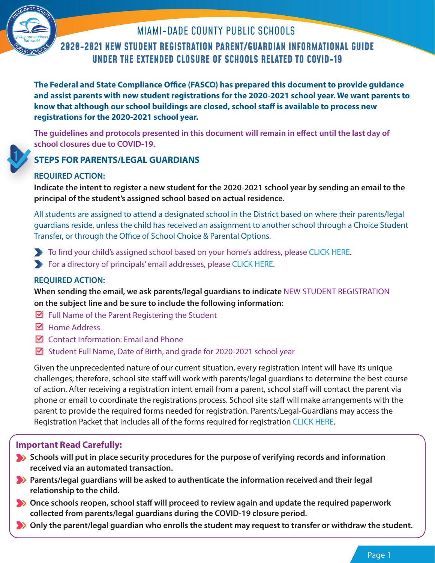

# **2020-2021 NEW STUDENT REGISTRATION PARENT/GUARDIAN INFORMATIONAL GUIDE UNDER THE EXTENDED CLOSURE OF SCHOOLS RELATED TO COVID-19** MIAMI-DADE COUNTY PUBLIC SCHOOLS

**The Federal and State Compliance Office (FASCO) has prepared this document to provide guidance and assist parents with new student registrations for the 2020-2021 school year. We want parents to know that although our school buildings are closed, school staff is available to process new registrations for the 2020-2021 school year.**

**The guidelines and protocols presented in this document will remain in effect until the last day of Th school closures due to COVID-19. sch**

# **STEPS FOR PARENTS/LEGAL GUARDIANS**

## **REQUIRED ACTION: RE**

**Indicate the intent to register a new student for the 2020-2021 school year by sending an email to the Ind principal of the student's assigned school based on actual residence.** 

All students are assigned to attend a designated school in the District based on where their parents/legal guardians reside, unless the child has received an assignment to another school through a Choice Student Transfer, or through the Office of School Choice & Parental Options.

- To find your child's assigned school based on your home's address, please CLICK HERE.
- For a directory of principals' email addresses, please CLICK HERE.

## **REQUIRED ACTION:**

**When sending the email, we ask parents/legal guardians to indicate** NEW STUDENT REGISTRATION **on the subject line and be sure to include the following information:**

- $\boxtimes$  Full Name of the Parent Registering the Student
- **M** Home Address
- $\boxtimes$  Contact Information: Email and Phone
- Student Full Name, Date of Birth, and grade for 2020-2021 school year

Given the unprecedented nature of our current situation, every registration intent will have its unique challenges; therefore, school site staff will work with parents/legal guardians to determine the best course of action. After receiving a registration intent email from a parent, school staff will contact the parent via phone or email to coordinate the registrations process. School site staff will make arrangements with the parent to provide the required forms needed for registration. Parents/Legal-Guardians may access the Registration Packet that includes all of the forms required for registration CLICK HERE.

## **Important Read Carefully:**

- **Schools will put in place security procedures for the purpose of verifying records and information received via an automated transaction.**
- **Parents/legal guardians will be asked to authenticate the information received and their legal relationship to the child.**
- **Once schools reopen, school staff will proceed to review again and update the required paperwork collected from parents/legal guardians during the COVID-19 closure period.**
- **Only the parent/legal guardian who enrolls the student may request to transfer or withdraw the student.**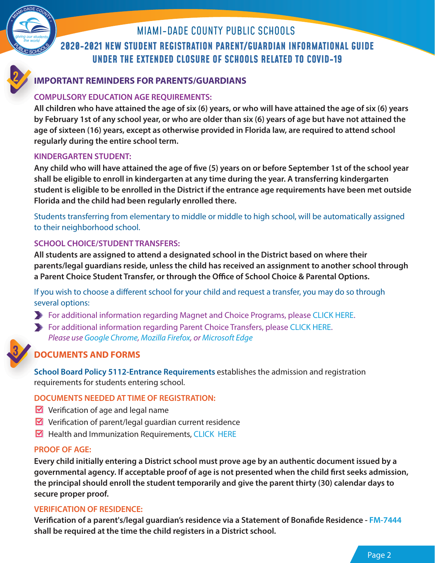

# **2020-2021 NEW STUDENT REGISTRATION PARENT/GUARDIAN INFORMATIONAL GUIDE UNDER THE EXTENDED CLOSURE OF SCHOOLS RELATED TO COVID-19** MIAMI-DADE COUNTY PUBLIC SCHOOLS

## **IMPORTANT REMINDERS FOR PARENTS/GUARDIANS IM**

## **COMPULSORY EDUCATION AGE REQUIREMENTS: CO**

**All children who have attained the age of six (6) years, or who will have attained the age of six (6) years All by February 1st of any school year, or who are older than six (6) years of age but have not attained the age of sixteen (16) years, except as otherwise provided in Florida law, are required to attend school regularly during the entire school term.**

### **KINDERGARTEN STUDENT:**

**Any child who will have attained the age of five (5) years on or before September 1st of the school year shall be eligible to enroll in kindergarten at any time during the year. A transferring kindergarten student is eligible to be enrolled in the District if the entrance age requirements have been met outside Florida and the child had been regularly enrolled there.**

Students transferring from elementary to middle or middle to high school, will be automatically assigned to their neighborhood school.

## **SCHOOL CHOICE/STUDENT TRANSFERS:**

**All students are assigned to attend a designated school in the District based on where their parents/legal guardians reside, unless the child has received an assignment to another school through a Parent Choice Student Transfer, or through the Office of School Choice & Parental Options.** 

If you wish to choose a different school for your child and request a transfer, you may do so through several options:

- For additional information regarding Magnet and Choice Programs, please CLICK HERE.
- For additional information regarding Parent Choice Transfers, please CLICK HERE. Please use Google Chrome, Mozilla Firefox, or Microsoft Edge



## **DOCUMENTS AND FORMS DO**

**School Board Policy 5112-Entrance Requirements** establishes the admission and registration **Sch** requirements for students entering school.

## **DOCUMENTS NEEDED AT TIME OF REGISTRATION:**

- $\triangleright$  Verification of age and legal name
- $\triangleright$  Verification of parent/legal guardian current residence
- $\blacksquare$  Health and Immunization Requirements, CLICK HERE

### **PROOF OF AGE:**

**Every child initially entering a District school must prove age by an authentic document issued by a governmental agency. If acceptable proof of age is not presented when the child first seeks admission, the principal should enroll the student temporarily and give the parent thirty (30) calendar days to secure proper proof.**

### **VERIFICATION OF RESIDENCE:**

**Verification of a parent's/legal guardian's residence via a Statement of Bonafide Residence - FM-7444 shall be required at the time the child registers in a District school.**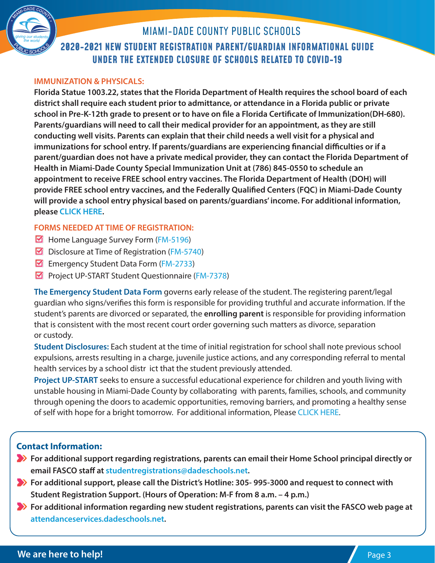

### **IMMUNIZATION & PHYSICALS:**

**Florida Statue 1003.22, states that the Florida Department of Health requires the school board of each district shall require each student prior to admittance, or attendance in a Florida public or private school in Pre-K-12th grade to present or to have on file a Florida Certificate of Immunization(DH-680). Parents/guardians will need to call their medical provider for an appointment, as they are still conducting well visits. Parents can explain that their child needs a well visit for a physical and immunizations for school entry. If parents/guardians are experiencing financial difficulties or if a parent/guardian does not have a private medical provider, they can contact the Florida Department of Health in Miami-Dade County Special Immunization Unit at (786) 845-0550 to schedule an appointment to receive FREE school entry vaccines. The Florida Department of Health (DOH) will provide FREE school entry vaccines, and the Federally Qualified Centers (FQC) in Miami-Dade County will provide a school entry physical based on parents/guardians' income. For additional information, please CLICK HERE.** 

### **FORMS NEEDED AT TIME OF REGISTRATION:**

- $\boxtimes$  Home Language Survey Form (FM-5196)
- $\boxtimes$  Disclosure at Time of Registration (FM-5740)
- Emergency Student Data Form (FM-2733)
- Project UP-START Student Questionnaire (FM-7378)

**The Emergency Student Data Form** governs early release of the student. The registering parent/legal guardian who signs/verifies this form is responsible for providing truthful and accurate information. If the student's parents are divorced or separated, the **enrolling parent** is responsible for providing information that is consistent with the most recent court order governing such matters as divorce, separation or custody.

**Student Disclosures:** Each student at the time of initial registration for school shall note previous school expulsions, arrests resulting in a charge, juvenile justice actions, and any corresponding referral to mental health services by a school distr ict that the student previously attended.

**Project UP-START** seeks to ensure a successful educational experience for children and youth living with unstable housing in Miami-Dade County by collaborating with parents, families, schools, and community through opening the doors to academic opportunities, removing barriers, and promoting a healthy sense of self with hope for a bright tomorrow. For additional information, Please CLICK HERE.

## **Contact Information:**

- **For additional support regarding registrations, parents can email their Home School principal directly or email FASCO staff at studentregistrations@dadeschools.net.**
- **For additional support, please call the District's Hotline: 305-995-3000 and request to connect with Student Registration Support. (Hours of Operation: M-F from 8 a.m. – 4 p.m.)**
- **For additional information regarding new student registrations, parents can visit the FASCO web page at attendanceservices.dadeschools.net.**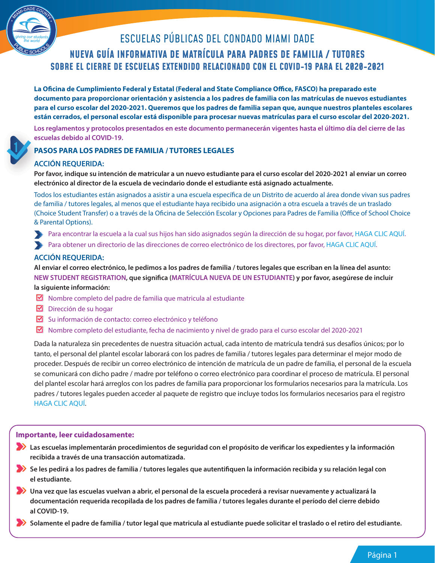

# ESCUELAS PÚBLICAS DEL CONDADO MIAMI DADE

# **NUEVA GUÍA INFORMATIVA DE MATRÍCULA PARA PADRES DE FAMILIA / TUTORES SOBRE EL CIERRE DE ESCUELAS EXTENDIDO RELACIONADO CON EL COVID-19 PARA EL 2020-2021**

**La Oficina de Cumplimiento Federal y Estatal (Federal and State Compliance Office, FASCO) ha preparado este documento para proporcionar orientación y asistencia a los padres de familia con las matrículas de nuevos estudiantes para el curso escolar del 2020-2021. Queremos que los padres de familia sepan que, aunque nuestros planteles escolares están cerrados, el personal escolar está disponible para procesar nuevas matrículas para el curso escolar del 2020-2021.**

**Los reglamentos y protocolos presentados en este documento permanecerán vigentes hasta el último día del cierre de las Los escuelas debido al COVID-19. esc**

### **PASOS PARA LOS PADRES DE FAMILIA / TUTORES LEGALES PA**

#### **ACCIÓN REQUERIDA: AC**

**Por favor, indique su intención de matricular a un nuevo estudiante para el curso escolar del 2020-2021 al enviar un correo Por electrónico al director de la escuela de vecindario donde el estudiante está asignado actualmente.** 

Todos los estudiantes están asignados a asistir a una escuela específica de un Distrito de acuerdo al área donde vivan sus padres de familia / tutores legales, al menos que el estudiante haya recibido una asignación a otra escuela a través de un traslado (Choice Student Transfer) o a través de la Oficina de Selección Escolar y Opciones para Padres de Familia (Office of School Choice & Parental Options).

- Para encontrar la escuela a la cual sus hijos han sido asignados según la dirección de su hogar, por favor, HAGA CLIC AQUÍ.
- Para obtener un directorio de las direcciones de correo electrónico de los directores, por favor, HAGA CLIC AQUÍ.

#### **ACCIÓN REQUERIDA:**

**Al enviar el correo electrónico, le pedimos a los padres de familia / tutores legales que escriban en la línea del asunto: NEW STUDENT REGISTRATION, que significa (MATRÍCULA NUEVA DE UN ESTUDIANTE) y por favor, asegúrese de incluir** 

#### **la siguiente información:**

- $\boxtimes$  Nombre completo del padre de familia que matricula al estudiante
- $\boxtimes$  Dirección de su hogar
- $\boxtimes$  Su información de contacto: correo electrónico y teléfono
- Nombre completo del estudiante, fecha de nacimiento y nivel de grado para el curso escolar del 2020-2021

Dada la naturaleza sin precedentes de nuestra situación actual, cada intento de matrícula tendrá sus desafíos únicos; por lo tanto, el personal del plantel escolar laborará con los padres de familia / tutores legales para determinar el mejor modo de proceder. Después de recibir un correo electrónico de intención de matrícula de un padre de familia, el personal de la escuela se comunicará con dicho padre / madre por teléfono o correo electrónico para coordinar el proceso de matrícula. El personal del plantel escolar hará arreglos con los padres de familia para proporcionar los formularios necesarios para la matrícula. Los padres / tutores legales pueden acceder al paquete de registro que incluye todos los formularios necesarios para el registro HAGA CLIC AQUÍ.

#### **Importante, leer cuidadosamente:**

- **Las escuelas implementarán procedimientos de seguridad con el propósito de verificar los expedientes y la información recibida a través de una transacción automatizada.**
- **Se les pedirá a los padres de familia / tutores legales que autentifiquen la información recibida y su relación legal con el estudiante.**
- **Una vez que las escuelas vuelvan a abrir, el personal de la escuela procederá a revisar nuevamente y actualizará la documentación requerida recopilada de los padres de familia / tutores legales durante el período del cierre debido al COVID-19.**

**Solamente el padre de familia / tutor legal que matricula al estudiante puede solicitar el traslado o el retiro del estudiante.**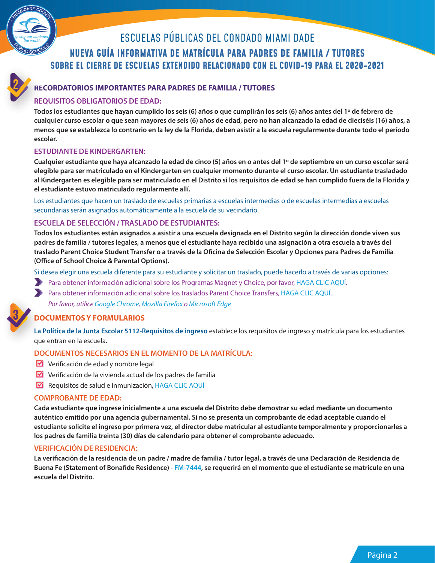

# ESCUELAS PÚBLICAS DEL CONDADO MIAMI DADE

# **NUEVA GUÍA INFORMATIVA DE MATRÍCULA PARA PADRES DE FAMILIA / TUTORES SOBRE EL CIERRE DE ESCUELAS EXTENDIDO RELACIONADO CON EL COVID-19 PARA EL 2020-2021**

### **RECORDATORIOS IMPORTANTES PARA PADRES DE FAMILIA / TUTORES REC**

### **REQUISITOS OBLIGATORIOS DE EDAD: REQ**

**Todos los estudiantes que hayan cumplido los seis (6) años o que cumplirán los seis (6) años antes del 1º de febrero de Tod cualquier curso escolar o que sean mayores de seis (6) años de edad, pero no han alcanzado la edad de dieciséis (16) años, a menos que se establezca lo contrario en la ley de la Florida, deben asistir a la escuela regularmente durante todo el período escolar.**

#### **ESTUDIANTE DE KINDERGARTEN:**

**Cualquier estudiante que haya alcanzado la edad de cinco (5) años en o antes del 1º de septiembre en un curso escolar será elegible para ser matriculado en el Kindergarten en cualquier momento durante el curso escolar. Un estudiante trasladado al Kindergarten es elegible para ser matriculado en el Distrito si los requisitos de edad se han cumplido fuera de la Florida y el estudiante estuvo matriculado regularmente allí.**

Los estudiantes que hacen un traslado de escuelas primarias a escuelas intermedias o de escuelas intermedias a escuelas secundarias serán asignados automáticamente a la escuela de su vecindario.

#### **ESCUELA DE SELECCIÓN / TRASLADO DE ESTUDIANTES:**

**Todos los estudiantes están asignados a asistir a una escuela designada en el Distrito según la dirección donde viven sus padres de familia / tutores legales, a menos que el estudiante haya recibido una asignación a otra escuela a través del traslado Parent Choice Student Transfer o a través de la Oficina de Selección Escolar y Opciones para Padres de Familia (Office of School Choice & Parental Options).** 

Si desea elegir una escuela diferente para su estudiante y solicitar un traslado, puede hacerlo a través de varias opciones:

- Para obtener información adicional sobre los Programas Magnet y Choice, por favor, HAGA CLIC AQUÍ.
- Para obtener información adicional sobre los traslados Parent Choice Transfers, HAGA CLIC AQUÍ. Por favor, utilice Google Chrome, Mozilla Firefox o Microsoft Edge

#### **DOCUMENTOS Y FORMULARIOS DO**

**La Política de la Junta Escolar 5112-Requisitos de ingreso** establece los requisitos de ingreso y matrícula para los estudiantes **La P** que entran en la escuela. que

#### **DOCUMENTOS NECESARIOS EN EL MOMENTO DE LA MATRÍCULA:**

- Verificación de edad y nombre legal
- $\triangleright$  Verificación de la vivienda actual de los padres de familia
- $\blacksquare$  Requisitos de salud e inmunización, HAGA CLIC AQUÍ

#### **COMPROBANTE DE EDAD:**

**Cada estudiante que ingrese inicialmente a una escuela del Distrito debe demostrar su edad mediante un documento auténtico emitido por una agencia gubernamental. Si no se presenta un comprobante de edad aceptable cuando el estudiante solicite el ingreso por primera vez, el director debe matricular al estudiante temporalmente y proporcionarles a los padres de familia treinta (30) días de calendario para obtener el comprobante adecuado.**

#### **VERIFICACIÓN DE RESIDENCIA:**

**La verificación de la residencia de un padre / madre de familia / tutor legal, a través de una Declaración de Residencia de Buena Fe (Statement of Bonafide Residence) - FM-7444, se requerirá en el momento que el estudiante se matricule en una escuela del Distrito.**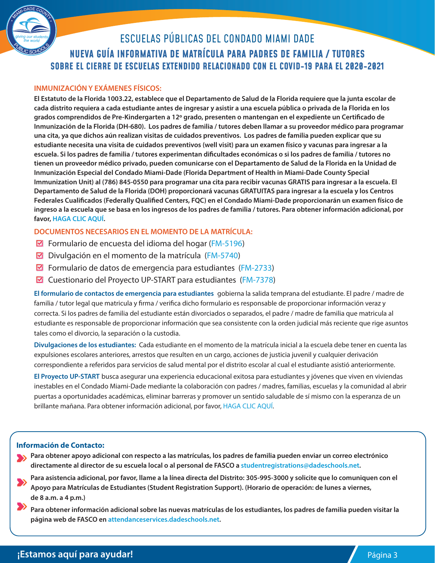

# **NUEVA GUÍA INFORMATIVA DE MATRÍCULA PARA PADRES DE FAMILIA / TUTORES SOBRE EL CIERRE DE ESCUELAS EXTENDIDO RELACIONADO CON EL COVID-19 PARA EL 2020-2021** ESCUELAS PÚBLICAS DEL CONDADO MIAMI DADE

### **INMUNIZACIÓN Y EXÁMENES FÍSICOS:**

**El Estatuto de la Florida 1003.22, establece que el Departamento de Salud de la Florida requiere que la junta escolar de cada distrito requiera a cada estudiante antes de ingresar y asistir a una escuela pública o privada de la Florida en los grados comprendidos de Pre-Kindergarten a 12º grado, presenten o mantengan en el expediente un Certificado de Inmunización de la Florida (DH-680). Los padres de familia / tutores deben llamar a su proveedor médico para programar una cita, ya que dichos aún realizan visitas de cuidados preventivos. Los padres de familia pueden explicar que su estudiante necesita una visita de cuidados preventivos (well visit) para un examen físico y vacunas para ingresar a la escuela. Si los padres de familia / tutores experimentan dificultades económicas o si los padres de familia / tutores no tienen un proveedor médico privado, pueden comunicarse con el Departamento de Salud de la Florida en la Unidad de Inmunización Especial del Condado Miami-Dade (Florida Department of Health in Miami-Dade County Special Immunization Unit) al (786) 845-0550 para programar una cita para recibir vacunas GRATIS para ingresar a la escuela. El Departamento de Salud de la Florida (DOH) proporcionará vacunas GRATUITAS para ingresar a la escuela y los Centros Federales Cualificados (Federally Qualified Centers, FQC) en el Condado Miami-Dade proporcionarán un examen físico de ingreso a la escuela que se basa en los ingresos de los padres de familia / tutores. Para obtener información adicional, por favor, HAGA CLIC AQUÍ.** 

#### **DOCUMENTOS NECESARIOS EN EL MOMENTO DE LA MATRÍCULA:**

- **Formulario de encuesta del idioma del hogar (FM-5196)**
- $\boxtimes$  Divulgación en el momento de la matrícula (FM-5740)
- $\boxtimes$  Formulario de datos de emergencia para estudiantes (FM-2733)
- $\boxtimes$  Cuestionario del Proyecto UP-START para estudiantes (FM-7378)

**El formulario de contactos de emergencia para estudiantes** gobierna la salida temprana del estudiante. El padre / madre de familia / tutor legal que matricula y firma / verifica dicho formulario es responsable de proporcionar información veraz y correcta. Si los padres de familia del estudiante están divorciados o separados, el padre / madre de familia que matricula al estudiante es responsable de proporcionar información que sea consistente con la orden judicial más reciente que rige asuntos tales como el divorcio, la separación o la custodia.

**Divulgaciones de los estudiantes:** Cada estudiante en el momento de la matrícula inicial a la escuela debe tener en cuenta las expulsiones escolares anteriores, arrestos que resulten en un cargo, acciones de justicia juvenil y cualquier derivación correspondiente a referidos para servicios de salud mental por el distrito escolar al cual el estudiante asistió anteriormente.

**El Proyecto UP-START** busca asegurar una experiencia educacional exitosa para estudiantes y jóvenes que viven en viviendas inestables en el Condado Miami-Dade mediante la colaboración con padres / madres, familias, escuelas y la comunidad al abrir puertas a oportunidades académicas, eliminar barreras y promover un sentido saludable de sí mismo con la esperanza de un brillante mañana. Para obtener información adicional, por favor, HAGA CLIC AQUÍ.

#### **Información de Contacto:**

- **Para obtener apoyo adicional con respecto a las matrículas, los padres de familia pueden enviar un correo electrónico SAL directamente al director de su escuela local o al personal de FASCO a studentregistrations@dadeschools.net.** 
	- **Para asistencia adicional, por favor, llame a la línea directa del Distrito: 305-995-3000 y solicite que lo comuniquen con el Apoyo para Matrículas de Estudiantes (Student Registration Support). (Horario de operación: de lunes a viernes, de 8 a.m. a 4 p.m.)**
	- **Para obtener información adicional sobre las nuevas matrículas de los estudiantes, los padres de familia pueden visitar la página web de FASCO en attendanceservices.dadeschools.net.**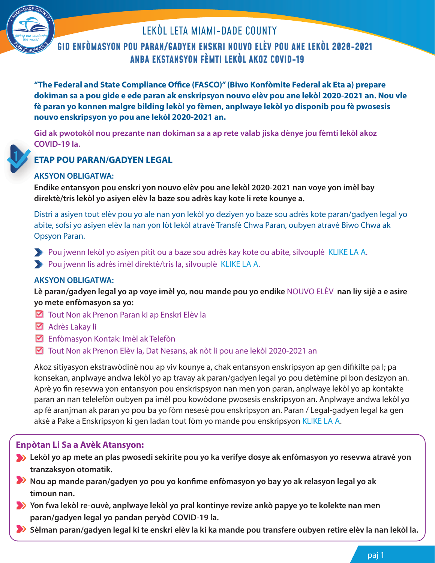

# LEKÒL LETA MIAMI-DADE COUNTY

# **GID ENFÒMASYON POU PARAN/GADYEN ENSKRI NOUVO ELÈV POU ANE LEKÒL 2020-2021 ANBA EKSTANSYON FÈMTI LEKÒL AKOZ COVID-19**

**"The Federal and State Compliance Office (FASCO)" (Biwo Konfòmite Federal ak Eta a) prepare dokiman sa a pou gide e ede paran ak enskripsyon nouvo elèv pou ane lekòl 2020-2021 an. Nou vle fè paran yo konnen malgre bilding lekòl yo fèmen, anplwaye lekòl yo disponib pou fè pwosesis nouvo enskripsyon yo pou ane lekòl 2020-2021 an.**

**Gid ak pwotokòl nou prezante nan dokiman sa a ap rete valab jiska dènye jou fèmti lekòl akoz Gid COVID-19 la. CO**

## **ETAP POU PARAN/GADYEN LEGAL ET**

## **AKSYON OBLIGATWA: AK**

**Endike entansyon pou enskri yon nouvo elèv pou ane lekòl 2020-2021 nan voye yon imèl bay En direktè/tris lekòl yo asiyen elèv la baze sou adrès kay kote li rete kounye a.** 

Distri a asiyen tout elèv pou yo ale nan yon lekòl yo deziyen yo baze sou adrès kote paran/gadyen legal yo abite, sofsi yo asiyen elèv la nan yon lòt lekòl atravè Transfè Chwa Paran, oubyen atravè Biwo Chwa ak Opsyon Paran.

Pou jwenn lekòl yo asiyen pitit ou a baze sou adrès kay kote ou abite, silvouplè KLIKE LA A.

Pou jwenn lis adrès imèl direktè/tris la, silvouplè KLIKE LA A.

## **AKSYON OBLIGATWA:**

**Lè paran/gadyen legal yo ap voye imèl yo, nou mande pou yo endike** NOUVO ELÈV **nan liy sijè a e asire yo mete enfòmasyon sa yo:**

- Tout Non ak Prenon Paran ki ap Enskri Elèv la
- Adrès Lakay li
- **Enfòmasyon Kontak: Imèl ak Telefòn**
- Tout Non ak Prenon Elèv la, Dat Nesans, ak nòt li pou ane lekòl 2020-2021 an

Akoz sitiyasyon ekstrawòdinè nou ap viv kounye a, chak entansyon enskripsyon ap gen difikilte pa l; pa konsekan, anplwaye andwa lekòl yo ap travay ak paran/gadyen legal yo pou detèmine pi bon desizyon an. Aprè yo fin resevwa yon entansyon pou enskrispsyon nan men yon paran, anplwaye lekòl yo ap kontakte paran an nan telelefòn oubyen pa imèl pou kowòdone pwosesis enskripsyon an. Anplwaye andwa lekòl yo ap fè aranjman ak paran yo pou ba yo fòm nesesè pou enskripsyon an. Paran / Legal-gadyen legal ka gen aksè a Pake a Enskripsyon ki gen ladan tout fòm yo mande pou enskripsyon KLIKE LA A.

## **Enpòtan Li Sa a Avèk Atansyon:**

- **Lekòl yo ap mete an plas pwosedi sekirite pou yo ka verifye dosye ak enfòmasyon yo resevwa atravè yon tranzaksyon otomatik.**
- **Nou ap mande paran/gadyen yo pou yo konfime enfòmasyon yo bay yo ak relasyon legal yo ak timoun nan.**
- **Yon fwa lekòl re-ouvè, anplwaye lekòl yo pral kontinye revize ankò papye yo te kolekte nan men paran/gadyen legal yo pandan peryòd COVID-19 la.**
- **Sèlman paran/gadyen legal ki te enskri elèv la ki ka mande pou transfere oubyen retire elèv la nan lekòl la.**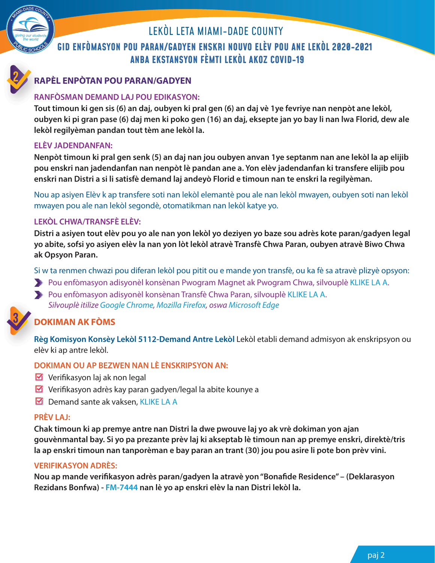

# **GID ENFÒMASYON POU PARAN/GADYEN ENSKRI NOUVO ELÈV POU ANE LEKÒL 2020-2021 ANBA EKSTANSYON FÈMTI LEKÒL AKOZ COVID-19** LEKÒL LETA MIAMI-DADE COUNTY

## **RAPÈL ENPÒTAN POU PARAN/GADYEN RA**

## **RANFÒSMAN DEMAND LAJ POU EDIKASYON: RA**

**Tout timoun ki gen sis (6) an daj, oubyen ki pral gen (6) an daj vè 1ye fevriye nan nenpòt ane lekòl, Tou oubyen ki pi gran pase (6) daj men ki poko gen (16) an daj, eksepte jan yo bay li nan lwa Florid, dew ale lekòl regilyèman pandan tout tèm ane lekòl la.**

### **ELÈV JADENDANFAN:**

**Nenpòt timoun ki pral gen senk (5) an daj nan jou oubyen anvan 1ye septanm nan ane lekòl la ap elijib pou enskri nan jadendanfan nan nenpòt lè pandan ane a. Yon elèv jadendanfan ki transfere elijib pou enskri nan Distri a si li satisfè demand laj andeyò Florid e timoun nan te enskri la regilyèman.**

Nou ap asiyen Elèv k ap transfere soti nan lekòl elemantè pou ale nan lekòl mwayen, oubyen soti nan lekòl mwayen pou ale nan lekòl segondè, otomatikman nan lekòl katye yo.

## **LEKÒL CHWA/TRANSFÈ ELÈV:**

**Distri a asiyen tout elèv pou yo ale nan yon lekòl yo deziyen yo baze sou adrès kote paran/gadyen legal yo abite, sofsi yo asiyen elèv la nan yon lòt lekòl atravè Transfè Chwa Paran, oubyen atravè Biwo Chwa ak Opsyon Paran.** 

Si w ta renmen chwazi pou diferan lekòl pou pitit ou e mande yon transfè, ou ka fè sa atravè plizyè opsyon:

- Pou enfòmasyon adisyonèl konsènan Pwogram Magnet ak Pwogram Chwa, silvouplè KLIKE LA A.
- Pou enfòmasyon adisyonèl konsènan Transfè Chwa Paran, silvouplè KLIKE LA A. Silvouplè itilize Google Chrome, Mozilla Firefox, oswa Microsoft Edge

# **DOKIMAN AK FÒMS DO**

**Règ Komisyon Konsèy Lekòl 5112-Demand Antre Lekòl** Lekòl etabli demand admisyon ak enskripsyon ou **Rè** elèv ki ap antre lekòl. elè

## **DOKIMAN OU AP BEZWEN NAN LÈ ENSKRIPSYON AN:**

- $\triangleright$  Verifikasyon laj ak non legal
- $\blacksquare$  Verifikasyon adrès kay paran gadyen/legal la abite kounye a
- $\Box$  Demand sante ak vaksen, KLIKE LA A

### **PRÈV LAJ:**

**Chak timoun ki ap premye antre nan Distri la dwe pwouve laj yo ak vrè dokiman yon ajan gouvènmantal bay. Si yo pa prezante prèv laj ki akseptab lè timoun nan ap premye enskri, direktè/tris la ap enskri timoun nan tanporèman e bay paran an trant (30) jou pou asire li pote bon prèv vini.**

### **VERIFIKASYON ADRÈS:**

**Nou ap mande verifikasyon adrès paran/gadyen la atravè yon "Bonafide Residence" – (Deklarasyon Rezidans Bonfwa) - FM-7444 nan lè yo ap enskri elèv la nan Distri lekòl la.**